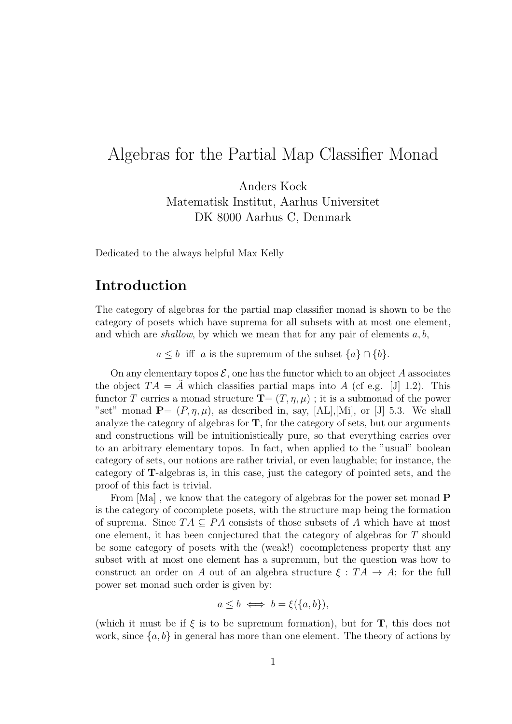# Algebras for the Partial Map Classifier Monad

Anders Kock Matematisk Institut, Aarhus Universitet DK 8000 Aarhus C, Denmark

Dedicated to the always helpful Max Kelly

## Introduction

The category of algebras for the partial map classifier monad is shown to be the category of posets which have suprema for all subsets with at most one element, and which are *shallow*, by which we mean that for any pair of elements  $a, b$ ,

 $a \leq b$  iff a is the supremum of the subset  $\{a\} \cap \{b\}.$ 

On any elementary topos  $\mathcal{E}$ , one has the functor which to an object A associates the object  $TA = A$  which classifies partial maps into A (cf e.g. [J] 1.2). This functor T carries a monad structure  $\mathbf{T}=(T,\eta,\mu)$ ; it is a submonad of the power "set" monad  $P=(P, \eta, \mu)$ , as described in, say, [AL],[Mi], or [J] 5.3. We shall analyze the category of algebras for  $T$ , for the category of sets, but our arguments and constructions will be intuitionistically pure, so that everything carries over to an arbitrary elementary topos. In fact, when applied to the "usual" boolean category of sets, our notions are rather trivial, or even laughable; for instance, the category of T-algebras is, in this case, just the category of pointed sets, and the proof of this fact is trivial.

From  $[Ma]$ , we know that the category of algebras for the power set monad **P** is the category of cocomplete posets, with the structure map being the formation of suprema. Since  $TA \subseteq PA$  consists of those subsets of A which have at most one element, it has been conjectured that the category of algebras for T should be some category of posets with the (weak!) cocompleteness property that any subset with at most one element has a supremum, but the question was how to construct an order on A out of an algebra structure  $\xi : TA \rightarrow A$ ; for the full power set monad such order is given by:

$$
a \le b \iff b = \xi(\{a, b\}),
$$

(which it must be if  $\xi$  is to be supremum formation), but for **T**, this does not work, since  $\{a, b\}$  in general has more than one element. The theory of actions by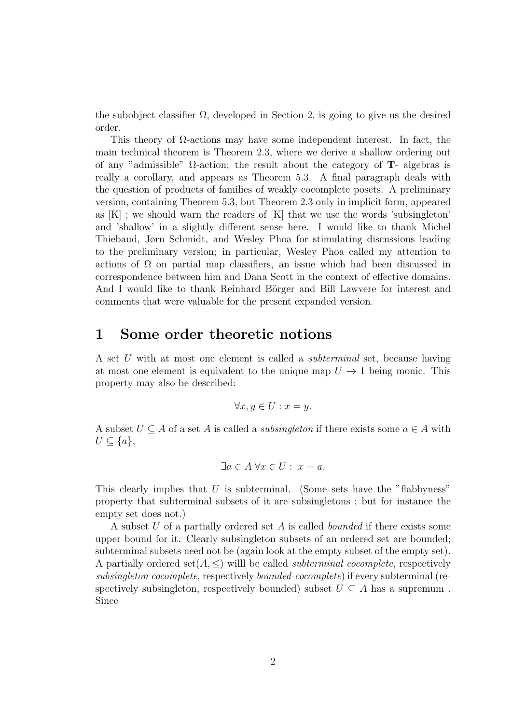the subobject classifier  $\Omega$ , developed in Section 2, is going to give us the desired order.

This theory of  $\Omega$ -actions may have some independent interest. In fact, the main technical theorem is Theorem 2.3, where we derive a shallow ordering out of any "admissible" Ω-action; the result about the category of T- algebras is really a corollary, and appears as Theorem 5.3. A final paragraph deals with the question of products of families of weakly cocomplete posets. A preliminary version, containing Theorem 5.3, but Theorem 2.3 only in implicit form, appeared as  $[K]$ ; we should warn the readers of  $[K]$  that we use the words 'subsingleton' and 'shallow' in a slightly different sense here. I would like to thank Michel Thiebaud, Jørn Schmidt, and Wesley Phoa for stimulating discussions leading to the preliminary version; in particular, Wesley Phoa called my attention to actions of  $\Omega$  on partial map classifiers, an issue which had been discussed in correspondence between him and Dana Scott in the context of effective domains. And I would like to thank Reinhard Börger and Bill Lawvere for interest and comments that were valuable for the present expanded version.

## 1 Some order theoretic notions

A set U with at most one element is called a *subterminal* set, because having at most one element is equivalent to the unique map  $U \rightarrow 1$  being monic. This property may also be described:

$$
\forall x, y \in U : x = y.
$$

A subset  $U \subseteq A$  of a set A is called a *subsingleton* if there exists some  $a \in A$  with  $U \subseteq \{a\},\$ 

$$
\exists a \in A \; \forall x \in U: \; x = a.
$$

This clearly implies that  $U$  is subterminal. (Some sets have the "flabbyness" property that subterminal subsets of it are subsingletons ; but for instance the empty set does not.)

A subset U of a partially ordered set A is called *bounded* if there exists some upper bound for it. Clearly subsingleton subsets of an ordered set are bounded; subterminal subsets need not be (again look at the empty subset of the empty set). A partially ordered set $(A, \leq)$  will be called *subterminal cocomplete*, respectively subsingleton cocomplete, respectively bounded-cocomplete) if every subterminal (respectively subsingleton, respectively bounded) subset  $U \subseteq A$  has a supremum. Since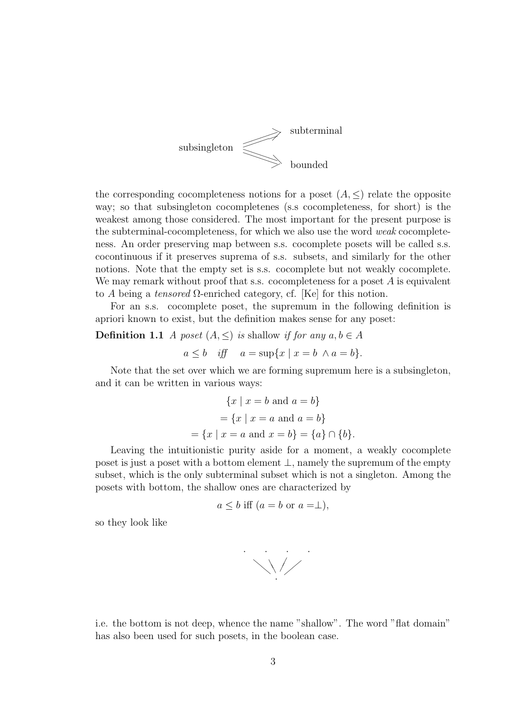

the corresponding cocompleteness notions for a poset  $(A, \leq)$  relate the opposite way; so that subsingleton cocompletenes (s.s cocompleteness, for short) is the weakest among those considered. The most important for the present purpose is the subterminal-cocompleteness, for which we also use the word weak cocompleteness. An order preserving map between s.s. cocomplete posets will be called s.s. cocontinuous if it preserves suprema of s.s. subsets, and similarly for the other notions. Note that the empty set is s.s. cocomplete but not weakly cocomplete. We may remark without proof that s.s. cocompleteness for a poset  $A$  is equivalent to A being a tensored  $\Omega$ -enriched category, cf. [Ke] for this notion.

For an s.s. cocomplete poset, the supremum in the following definition is apriori known to exist, but the definition makes sense for any poset:

### **Definition 1.1** A poset  $(A, \leq)$  is shallow if for any  $a, b \in A$

$$
a \leq b
$$
 iff  $a = \sup\{x \mid x = b \land a = b\}.$ 

Note that the set over which we are forming supremum here is a subsingleton, and it can be written in various ways:

$$
\{x \mid x = b \text{ and } a = b\}
$$

$$
= \{x \mid x = a \text{ and } a = b\}
$$

$$
= \{x \mid x = a \text{ and } x = b\} = \{a\} \cap \{b\}.
$$

Leaving the intuitionistic purity aside for a moment, a weakly cocomplete poset is just a poset with a bottom element ⊥, namely the supremum of the empty subset, which is the only subterminal subset which is not a singleton. Among the posets with bottom, the shallow ones are characterized by

$$
a \leq b
$$
 iff  $(a = b$  or  $a = \perp)$ ,

so they look like



i.e. the bottom is not deep, whence the name "shallow". The word "flat domain" has also been used for such posets, in the boolean case.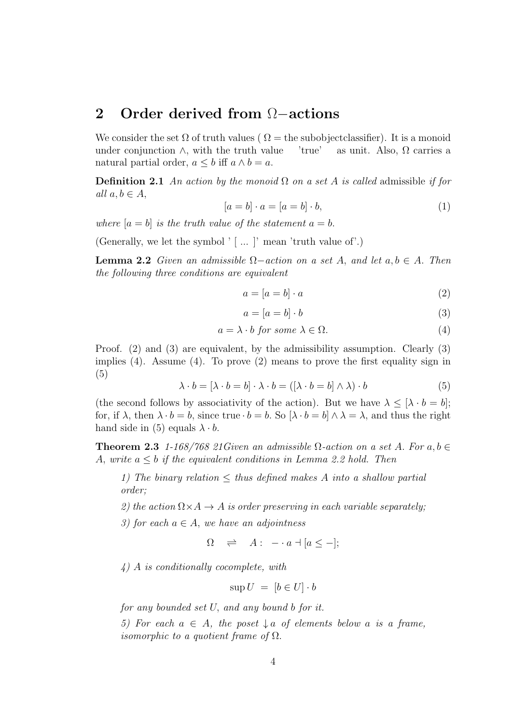## 2 Order derived from Ω–actions

We consider the set  $\Omega$  of truth values ( $\Omega$  = the subobject classifier). It is a monoid under conjunction  $\wedge$ , with the truth value 'true' as unit. Also,  $\Omega$  carries a natural partial order,  $a \leq b$  iff  $a \wedge b = a$ .

**Definition 2.1** An action by the monoid  $\Omega$  on a set A is called admissible if for all  $a, b \in A$ ,

$$
[a = b] \cdot a = [a = b] \cdot b,\tag{1}
$$

where  $[a = b]$  is the truth value of the statement  $a = b$ .

(Generally, we let the symbol  $'$  [ ... ]' mean 'truth value of'.)

**Lemma 2.2** Given an admissible  $\Omega$ -action on a set A, and let  $a, b \in A$ . Then the following three conditions are equivalent

$$
a = [a = b] \cdot a \tag{2}
$$

$$
a = [a = b] \cdot b \tag{3}
$$

$$
a = \lambda \cdot b \text{ for some } \lambda \in \Omega. \tag{4}
$$

Proof. (2) and (3) are equivalent, by the admissibility assumption. Clearly (3) implies (4). Assume (4). To prove (2) means to prove the first equality sign in (5)

$$
\lambda \cdot b = [\lambda \cdot b = b] \cdot \lambda \cdot b = ([\lambda \cdot b = b] \wedge \lambda) \cdot b \tag{5}
$$

(the second follows by associativity of the action). But we have  $\lambda \leq [\lambda \cdot b = b]$ ; for, if  $\lambda$ , then  $\lambda \cdot b = b$ , since true  $\cdot b = b$ . So  $[\lambda \cdot b = b] \wedge \lambda = \lambda$ , and thus the right hand side in (5) equals  $\lambda \cdot b$ .

**Theorem 2.3** 1-168/768 21Given an admissible  $\Omega$ -action on a set A. For a, b  $\in$ A, write  $a \leq b$  if the equivalent conditions in Lemma 2.2 hold. Then

1) The binary relation  $\leq$  thus defined makes A into a shallow partial order;

2) the action  $\Omega \times A \rightarrow A$  is order preserving in each variable separately;

3) for each  $a \in A$ , we have an adjointness

 $\Omega \Rightarrow A : -a \dashv [a \leq -];$ 

4) A is conditionally cocomplete, with

$$
\sup U = [b \in U] \cdot b
$$

for any bounded set U, and any bound b for it.

5) For each  $a \in A$ , the poset  $\downarrow a$  of elements below a is a frame, *isomorphic to a quotient frame of*  $\Omega$ .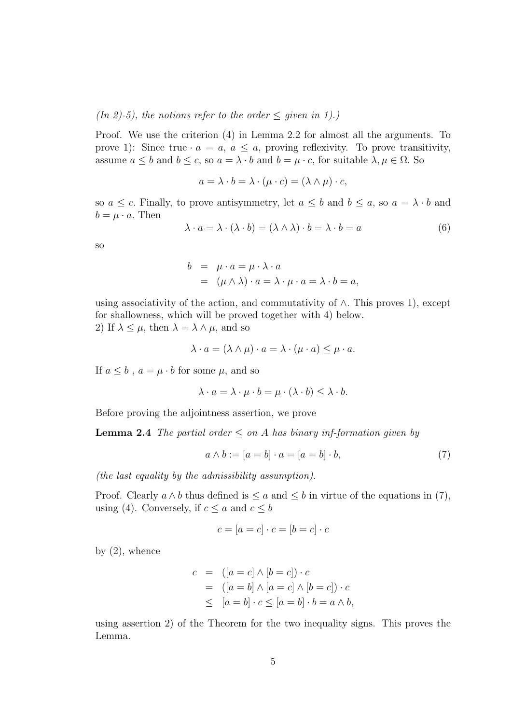(In 2)-5), the notions refer to the order  $\leq$  given in 1).)

Proof. We use the criterion (4) in Lemma 2.2 for almost all the arguments. To prove 1): Since true  $\cdot a = a, a \le a$ , proving reflexivity. To prove transitivity, assume  $a \leq b$  and  $b \leq c$ , so  $a = \lambda \cdot b$  and  $b = \mu \cdot c$ , for suitable  $\lambda, \mu \in \Omega$ . So

$$
a = \lambda \cdot b = \lambda \cdot (\mu \cdot c) = (\lambda \wedge \mu) \cdot c,
$$

so  $a \leq c$ . Finally, to prove antisymmetry, let  $a \leq b$  and  $b \leq a$ , so  $a = \lambda \cdot b$  and  $b = \mu \cdot a$ . Then

$$
\lambda \cdot a = \lambda \cdot (\lambda \cdot b) = (\lambda \wedge \lambda) \cdot b = \lambda \cdot b = a \tag{6}
$$

so

$$
b = \mu \cdot a = \mu \cdot \lambda \cdot a
$$
  
=  $(\mu \wedge \lambda) \cdot a = \lambda \cdot \mu \cdot a = \lambda \cdot b = a$ ,

using associativity of the action, and commutativity of  $\wedge$ . This proves 1), except for shallowness, which will be proved together with 4) below. 2) If  $\lambda \leq \mu$ , then  $\lambda = \lambda \wedge \mu$ , and so

$$
\lambda \cdot a = (\lambda \wedge \mu) \cdot a = \lambda \cdot (\mu \cdot a) \leq \mu \cdot a.
$$

If  $a \leq b$ ,  $a = \mu \cdot b$  for some  $\mu$ , and so

$$
\lambda \cdot a = \lambda \cdot \mu \cdot b = \mu \cdot (\lambda \cdot b) \le \lambda \cdot b.
$$

Before proving the adjointness assertion, we prove

**Lemma 2.4** The partial order  $\leq$  on A has binary inf-formation given by

$$
a \wedge b := [a = b] \cdot a = [a = b] \cdot b,\tag{7}
$$

(the last equality by the admissibility assumption).

Proof. Clearly  $a \wedge b$  thus defined is  $\le a$  and  $\le b$  in virtue of the equations in (7), using (4). Conversely, if  $c \le a$  and  $c \le b$ 

$$
c = [a = c] \cdot c = [b = c] \cdot c
$$

by  $(2)$ , whence

$$
c = ([a = c] \land [b = c]) \cdot c
$$
  
= 
$$
([a = b] \land [a = c] \land [b = c]) \cdot c
$$
  

$$
\leq [a = b] \cdot c \leq [a = b] \cdot b = a \land b,
$$

using assertion 2) of the Theorem for the two inequality signs. This proves the Lemma.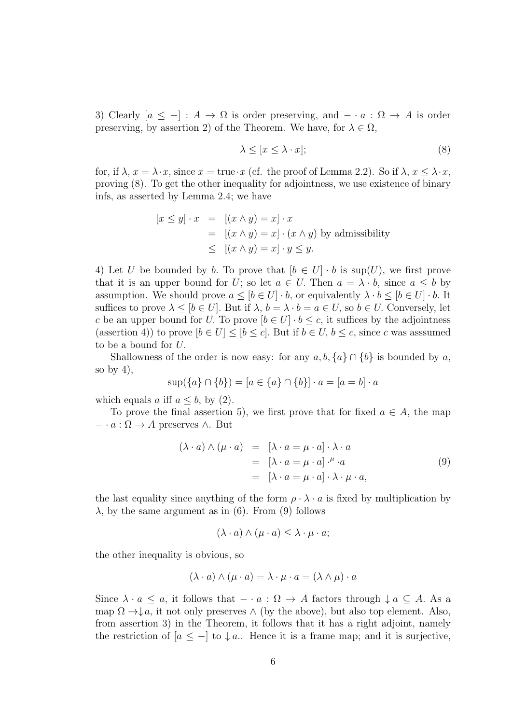3) Clearly  $[a \leq -] : A \to \Omega$  is order preserving, and  $-\cdot a : \Omega \to A$  is order preserving, by assertion 2) of the Theorem. We have, for  $\lambda \in \Omega$ ,

$$
\lambda \le [x \le \lambda \cdot x];\tag{8}
$$

for, if  $\lambda$ ,  $x = \lambda \cdot x$ , since  $x = \text{true} \cdot x$  (cf. the proof of Lemma 2.2). So if  $\lambda$ ,  $x \leq \lambda \cdot x$ , proving (8). To get the other inequality for adjointness, we use existence of binary infs, as asserted by Lemma 2.4; we have

$$
[x \le y] \cdot x = [(x \land y) = x] \cdot x
$$
  
= 
$$
[(x \land y) = x] \cdot (x \land y)
$$
 by admissibility  

$$
\leq [(x \land y) = x] \cdot y \leq y.
$$

4) Let U be bounded by b. To prove that  $[b \in U] \cdot b$  is  $\sup(U)$ , we first prove that it is an upper bound for U; so let  $a \in U$ . Then  $a = \lambda \cdot b$ , since  $a \leq b$  by assumption. We should prove  $a \leq [b \in U] \cdot b$ , or equivalently  $\lambda \cdot b \leq [b \in U] \cdot b$ . It suffices to prove  $\lambda \leq [b \in U]$ . But if  $\lambda, b = \lambda \cdot b = a \in U$ , so  $b \in U$ . Conversely, let c be an upper bound for U. To prove  $[b \in U] \cdot b \le c$ , it suffices by the adjointness (assertion 4)) to prove  $[b \in U] \leq [b \leq c]$ . But if  $b \in U$ ,  $b \leq c$ , since c was assumed to be a bound for U.

Shallowness of the order is now easy: for any  $a, b, \{a\} \cap \{b\}$  is bounded by a, so by  $4$ ,

$$
\sup(\{a\} \cap \{b\}) = [a \in \{a\} \cap \{b\}] \cdot a = [a = b] \cdot a
$$

which equals a iff  $a \leq b$ , by (2).

To prove the final assertion 5), we first prove that for fixed  $a \in A$ , the map  $- \cdot a : \Omega \to A$  preserves ∧. But

$$
(\lambda \cdot a) \wedge (\mu \cdot a) = [\lambda \cdot a = \mu \cdot a] \cdot \lambda \cdot a
$$
  
=  $[\lambda \cdot a = \mu \cdot a] \cdot^{\mu} \cdot a$   
=  $[\lambda \cdot a = \mu \cdot a] \cdot \lambda \cdot \mu \cdot a$ , (9)

the last equality since anything of the form  $\rho \cdot \lambda \cdot a$  is fixed by multiplication by  $\lambda$ , by the same argument as in (6). From (9) follows

$$
(\lambda \cdot a) \wedge (\mu \cdot a) \leq \lambda \cdot \mu \cdot a;
$$

the other inequality is obvious, so

$$
(\lambda \cdot a) \wedge (\mu \cdot a) = \lambda \cdot \mu \cdot a = (\lambda \wedge \mu) \cdot a
$$

Since  $\lambda \cdot a \leq a$ , it follows that  $-\cdot a : \Omega \to A$  factors through  $\downarrow a \subseteq A$ . As a map  $\Omega \to \downarrow a$ , it not only preserves  $\wedge$  (by the above), but also top element. Also, from assertion 3) in the Theorem, it follows that it has a right adjoint, namely the restriction of  $[a \leq -]$  to  $\downarrow a$ .. Hence it is a frame map; and it is surjective,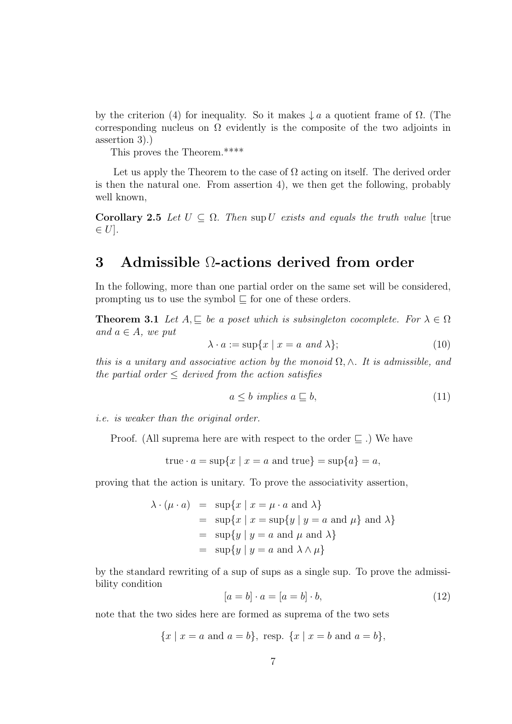by the criterion (4) for inequality. So it makes  $\downarrow a$  a quotient frame of  $\Omega$ . (The corresponding nucleus on  $\Omega$  evidently is the composite of the two adjoints in assertion 3).)

This proves the Theorem.\*\*\*\*

Let us apply the Theorem to the case of  $\Omega$  acting on itself. The derived order is then the natural one. From assertion 4), we then get the following, probably well known,

Corollary 2.5 Let  $U \subseteq \Omega$ . Then sup U exists and equals the truth value [true  $\in U$ .

# 3 Admissible Ω-actions derived from order

In the following, more than one partial order on the same set will be considered, prompting us to use the symbol  $\Box$  for one of these orders.

**Theorem 3.1** Let  $A, \subseteq$  be a poset which is subsingleton cocomplete. For  $\lambda \in \Omega$ and  $a \in A$ , we put

$$
\lambda \cdot a := \sup\{x \mid x = a \text{ and } \lambda\};\tag{10}
$$

this is a unitary and associative action by the monoid  $\Omega$ ,  $\wedge$ . It is admissible, and the partial order  $\leq$  derived from the action satisfies

$$
a \le b \ \ implies \ a \sqsubseteq b,\tag{11}
$$

i.e. is weaker than the original order.

Proof. (All suprema here are with respect to the order  $\subseteq$  .) We have

true 
$$
\cdot
$$
  $a = \sup\{x \mid x = a \text{ and true}\} = \sup\{a\} = a,$ 

proving that the action is unitary. To prove the associativity assertion,

$$
\lambda \cdot (\mu \cdot a) = \sup \{ x \mid x = \mu \cdot a \text{ and } \lambda \}
$$
  
= 
$$
\sup \{ x \mid x = \sup \{ y \mid y = a \text{ and } \mu \} \text{ and } \lambda \}
$$
  
= 
$$
\sup \{ y \mid y = a \text{ and } \mu \text{ and } \lambda \}
$$
  
= 
$$
\sup \{ y \mid y = a \text{ and } \lambda \wedge \mu \}
$$

by the standard rewriting of a sup of sups as a single sup. To prove the admissibility condition

$$
[a = b] \cdot a = [a = b] \cdot b,\tag{12}
$$

note that the two sides here are formed as suprema of the two sets

$$
\{x \mid x = a \text{ and } a = b\}, \text{ resp. } \{x \mid x = b \text{ and } a = b\},
$$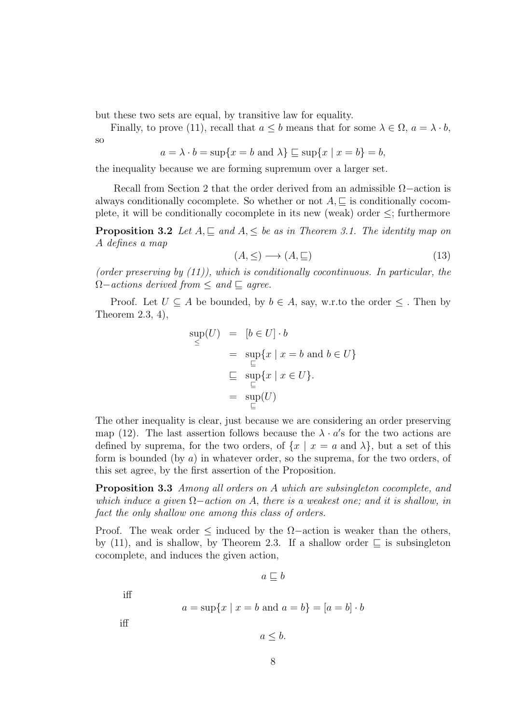but these two sets are equal, by transitive law for equality.

Finally, to prove (11), recall that  $a \leq b$  means that for some  $\lambda \in \Omega$ ,  $a = \lambda \cdot b$ , so

$$
a = \lambda \cdot b = \sup\{x = b \text{ and } \lambda\} \sqsubseteq \sup\{x \mid x = b\} = b,
$$

the inequality because we are forming supremum over a larger set.

Recall from Section 2 that the order derived from an admissible  $\Omega$  –action is always conditionally cocomplete. So whether or not  $A, \subseteq$  is conditionally cocomplete, it will be conditionally cocomplete in its new (weak) order ≤; furthermore

**Proposition 3.2** Let  $A \subseteq$  and  $A \leq$  be as in Theorem 3.1. The identity map on A defines a map

$$
(A, \leq) \longrightarrow (A, \sqsubseteq) \tag{13}
$$

(order preserving by  $(11)$ ), which is conditionally cocontinuous. In particular, the  $\Omega$ -actions derived from  $\leq$  and  $\sqsubseteq$  agree.

Proof. Let  $U \subseteq A$  be bounded, by  $b \in A$ , say, w.r.to the order  $\leq$ . Then by Theorem 2.3, 4),

$$
\sup_{\le} (U) = [b \in U] \cdot b
$$
\n
$$
= \sup_{\sqsubseteq} \{x \mid x = b \text{ and } b \in U\}
$$
\n
$$
\sqsubseteq \sup_{\sqsubseteq} \{x \mid x \in U\}.
$$
\n
$$
= \sup_{\sqsubseteq} (U)
$$

The other inequality is clear, just because we are considering an order preserving map (12). The last assertion follows because the  $\lambda \cdot a'$ s for the two actions are defined by suprema, for the two orders, of  $\{x \mid x = a \text{ and } \lambda\}$ , but a set of this form is bounded (by  $a$ ) in whatever order, so the suprema, for the two orders, of this set agree, by the first assertion of the Proposition.

Proposition 3.3 Among all orders on A which are subsingleton cocomplete, and which induce a given  $\Omega$ –action on A, there is a weakest one; and it is shallow, in fact the only shallow one among this class of orders.

Proof. The weak order  $≤$  induced by the  $Ω$ -action is weaker than the others, by (11), and is shallow, by Theorem 2.3. If a shallow order  $\Box$  is subsingleton cocomplete, and induces the given action,

 $a \sqsubseteq b$ 

iff

$$
a = \sup\{x \mid x = b \text{ and } a = b\} = [a = b] \cdot b
$$

iff

 $a \leq b$ .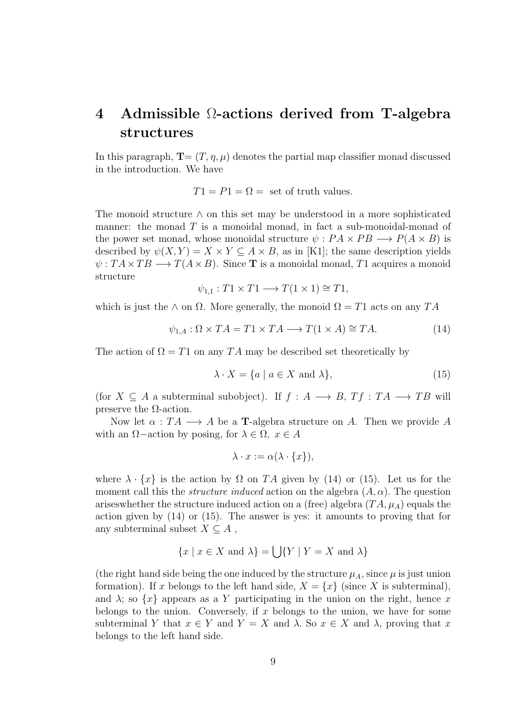# 4 Admissible Ω-actions derived from T-algebra structures

In this paragraph,  $\mathbf{T}=(T, \eta, \mu)$  denotes the partial map classifier monad discussed in the introduction. We have

 $T1 = P1 = \Omega =$  set of truth values.

The monoid structure  $\wedge$  on this set may be understood in a more sophisticated manner: the monad  $T$  is a monoidal monad, in fact a sub-monoidal-monad of the power set monad, whose monoidal structure  $\psi: PA \times PB \longrightarrow P(A \times B)$  is described by  $\psi(X, Y) = X \times Y \subseteq A \times B$ , as in [K1]; the same description yields  $\psi: T A \times T B \longrightarrow T(A \times B)$ . Since **T** is a monoidal monad, T1 acquires a monoid structure

$$
\psi_{1,1}: T1 \times T1 \longrightarrow T(1 \times 1) \cong T1,
$$

which is just the  $\wedge$  on  $\Omega$ . More generally, the monoid  $\Omega = T1$  acts on any  $TA$ 

$$
\psi_{1,A} : \Omega \times TA = T1 \times TA \longrightarrow T(1 \times A) \cong TA. \tag{14}
$$

The action of  $\Omega = T1$  on any TA may be described set theoretically by

$$
\lambda \cdot X = \{ a \mid a \in X \text{ and } \lambda \},\tag{15}
$$

(for  $X \subseteq A$  a subterminal subobject). If  $f : A \longrightarrow B$ ,  $Tf : TA \longrightarrow TB$  will preserve the  $\Omega$ -action.

Now let  $\alpha : TA \longrightarrow A$  be a **T**-algebra structure on A. Then we provide A with an  $\Omega$ –action by posing, for  $\lambda \in \Omega$ ,  $x \in A$ 

$$
\lambda \cdot x := \alpha(\lambda \cdot \{x\}),
$$

where  $\lambda \cdot \{x\}$  is the action by  $\Omega$  on TA given by (14) or (15). Let us for the moment call this the *structure induced* action on the algebra  $(A, \alpha)$ . The question arises whether the structure induced action on a (free) algebra  $(TA, \mu_A)$  equals the action given by (14) or (15). The answer is yes: it amounts to proving that for any subterminal subset  $X \subseteq A$ ,

$$
\{x \mid x \in X \text{ and } \lambda\} = \bigcup \{Y \mid Y = X \text{ and } \lambda\}
$$

(the right hand side being the one induced by the structure  $\mu_A$ , since  $\mu$  is just union formation). If x belongs to the left hand side,  $X = \{x\}$  (since X is subterminal), and  $\lambda$ ; so  $\{x\}$  appears as a Y participating in the union on the right, hence x belongs to the union. Conversely, if x belongs to the union, we have for some subterminal Y that  $x \in Y$  and  $Y = X$  and  $\lambda$ . So  $x \in X$  and  $\lambda$ , proving that x belongs to the left hand side.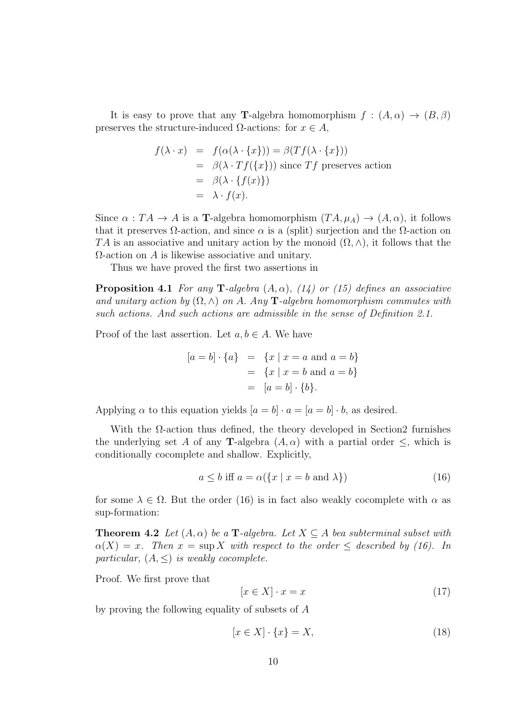It is easy to prove that any **T**-algebra homomorphism  $f : (A, \alpha) \to (B, \beta)$ preserves the structure-induced  $\Omega$ -actions: for  $x \in A$ ,

$$
f(\lambda \cdot x) = f(\alpha(\lambda \cdot \{x\})) = \beta(Tf(\lambda \cdot \{x\}))
$$
  
=  $\beta(\lambda \cdot Tf(\{x\}))$  since Tf preserves action  
=  $\beta(\lambda \cdot \{f(x)\})$   
=  $\lambda \cdot f(x)$ .

Since  $\alpha: TA \to A$  is a T-algebra homomorphism  $(TA, \mu_A) \to (A, \alpha)$ , it follows that it preserves  $\Omega$ -action, and since  $\alpha$  is a (split) surjection and the  $\Omega$ -action on TA is an associative and unitary action by the monoid  $(\Omega, \wedge)$ , it follows that the  $\Omega$ -action on  $\Lambda$  is likewise associative and unitary.

Thus we have proved the first two assertions in

**Proposition 4.1** For any T-algebra  $(A, \alpha)$ ,  $(14)$  or  $(15)$  defines an associative and unitary action by  $(\Omega, \wedge)$  on A. Any **T**-algebra homomorphism commutes with such actions. And such actions are admissible in the sense of Definition 2.1.

Proof of the last assertion. Let  $a, b \in A$ . We have

$$
[a = b] \cdot \{a\} = \{x \mid x = a \text{ and } a = b\}
$$
  
= 
$$
\{x \mid x = b \text{ and } a = b\}
$$
  
= 
$$
[a = b] \cdot \{b\}.
$$

Applying  $\alpha$  to this equation yields  $[a = b] \cdot a = [a = b] \cdot b$ , as desired.

With the Ω-action thus defined, the theory developed in Section2 furnishes the underlying set A of any **T**-algebra  $(A, \alpha)$  with a partial order  $\leq$ , which is conditionally cocomplete and shallow. Explicitly,

$$
a \le b \text{ iff } a = \alpha(\{x \mid x = b \text{ and } \lambda\})\tag{16}
$$

for some  $\lambda \in \Omega$ . But the order (16) is in fact also weakly cocomplete with  $\alpha$  as sup-formation:

**Theorem 4.2** Let  $(A, \alpha)$  be a **T**-algebra. Let  $X \subseteq A$  bea subterminal subset with  $\alpha(X) = x$ . Then  $x = \sup X$  with respect to the order  $\leq$  described by (16). In particular,  $(A, \leq)$  is weakly cocomplete.

Proof. We first prove that

$$
[x \in X] \cdot x = x \tag{17}
$$

by proving the following equality of subsets of A

$$
[x \in X] \cdot \{x\} = X,\tag{18}
$$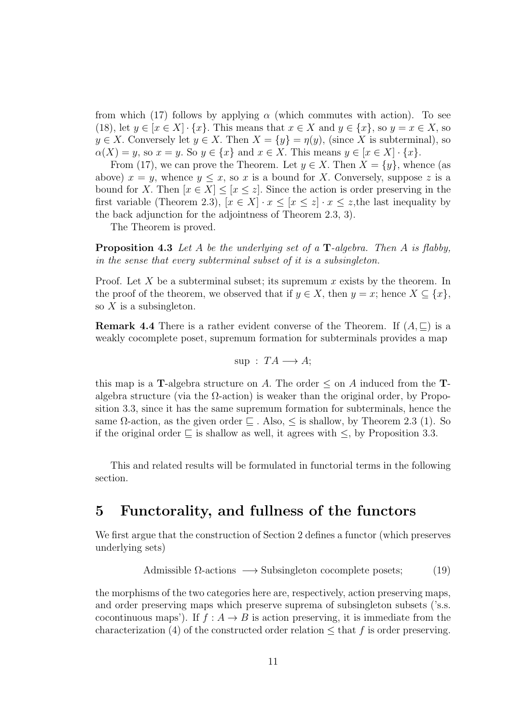from which (17) follows by applying  $\alpha$  (which commutes with action). To see (18), let  $y \in [x \in X] \cdot \{x\}$ . This means that  $x \in X$  and  $y \in \{x\}$ , so  $y = x \in X$ , so  $y \in X$ . Conversely let  $y \in X$ . Then  $X = \{y\} = \eta(y)$ , (since X is subterminal), so  $\alpha(X) = y$ , so  $x = y$ . So  $y \in \{x\}$  and  $x \in X$ . This means  $y \in [x \in X] \cdot \{x\}$ .

From (17), we can prove the Theorem. Let  $y \in X$ . Then  $X = \{y\}$ , whence (as above)  $x = y$ , whence  $y \leq x$ , so x is a bound for X. Conversely, suppose z is a bound for X. Then  $[x \in X] \leq [x \leq z]$ . Since the action is order preserving in the first variable (Theorem 2.3),  $[x \in X] \cdot x \leq [x \leq z] \cdot x \leq z$ , the last inequality by the back adjunction for the adjointness of Theorem 2.3, 3).

The Theorem is proved.

**Proposition 4.3** Let A be the underlying set of a  $\mathbf{T}$ -algebra. Then A is flabby, in the sense that every subterminal subset of it is a subsingleton.

Proof. Let X be a subterminal subset; its supremum x exists by the theorem. In the proof of the theorem, we observed that if  $y \in X$ , then  $y = x$ ; hence  $X \subseteq \{x\}$ , so  $X$  is a subsingleton.

**Remark 4.4** There is a rather evident converse of the Theorem. If  $(A, \subseteq)$  is a weakly cocomplete poset, supremum formation for subterminals provides a map

$$
sup: TA \longrightarrow A;
$$

this map is a T-algebra structure on A. The order  $\leq$  on A induced from the Talgebra structure (via the  $\Omega$ -action) is weaker than the original order, by Proposition 3.3, since it has the same supremum formation for subterminals, hence the same  $\Omega$ -action, as the given order  $\Box$ . Also,  $\leq$  is shallow, by Theorem 2.3 (1). So if the original order  $\subseteq$  is shallow as well, it agrees with  $\leq$ , by Proposition 3.3.

This and related results will be formulated in functorial terms in the following section.

## 5 Functorality, and fullness of the functors

We first argue that the construction of Section 2 defines a functor (which preserves underlying sets)

Admissible 
$$
\Omega
$$
-actions  $\longrightarrow$  Subsingleton cocomplete posets; (19)

the morphisms of the two categories here are, respectively, action preserving maps, and order preserving maps which preserve suprema of subsingleton subsets ('s.s. cocontinuous maps'). If  $f : A \rightarrow B$  is action preserving, it is immediate from the characterization (4) of the constructed order relation  $\leq$  that f is order preserving.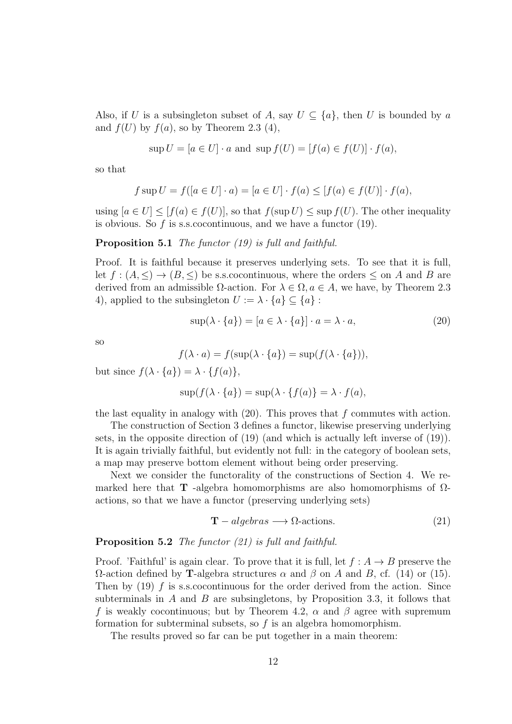Also, if U is a subsingleton subset of A, say  $U \subseteq \{a\}$ , then U is bounded by a and  $f(U)$  by  $f(a)$ , so by Theorem 2.3 (4),

$$
\sup U = [a \in U] \cdot a \text{ and } \sup f(U) = [f(a) \in f(U)] \cdot f(a),
$$

so that

$$
f \sup U = f([a \in U] \cdot a) = [a \in U] \cdot f(a) \leq [f(a) \in f(U)] \cdot f(a),
$$

using  $[a \in U] \leq [f(a) \in f(U)]$ , so that  $f(\sup U) \leq \sup f(U)$ . The other inequality is obvious. So  $f$  is s.s. cocontinuous, and we have a functor  $(19)$ .

Proposition 5.1 The functor (19) is full and faithful.

Proof. It is faithful because it preserves underlying sets. To see that it is full, let  $f : (A, \leq) \to (B, \leq)$  be s.s. cocontinuous, where the orders  $\leq$  on A and B are derived from an admissible  $\Omega$ -action. For  $\lambda \in \Omega$ ,  $a \in A$ , we have, by Theorem 2.3 4), applied to the subsingleton  $U := \lambda \cdot \{a\} \subseteq \{a\}$ :

$$
\sup(\lambda \cdot \{a\}) = [a \in \lambda \cdot \{a\}] \cdot a = \lambda \cdot a,\tag{20}
$$

so

$$
f(\lambda \cdot a) = f(\sup(\lambda \cdot \{a\}) = \sup(f(\lambda \cdot \{a\})),
$$

but since  $f(\lambda \cdot \{a\}) = \lambda \cdot \{f(a)\},\$ 

$$
\sup(f(\lambda \cdot \{a\}) = \sup(\lambda \cdot \{f(a)\} = \lambda \cdot f(a),
$$

the last equality in analogy with  $(20)$ . This proves that f commutes with action.

The construction of Section 3 defines a functor, likewise preserving underlying sets, in the opposite direction of (19) (and which is actually left inverse of (19)). It is again trivially faithful, but evidently not full: in the category of boolean sets, a map may preserve bottom element without being order preserving.

Next we consider the functorality of the constructions of Section 4. We remarked here that **T** -algebra homomorphisms are also homomorphisms of  $\Omega$ actions, so that we have a functor (preserving underlying sets)

$$
T-algebras \longrightarrow \Omega\text{-actions.} \tag{21}
$$

#### Proposition 5.2 The functor (21) is full and faithful.

Proof. 'Faithful' is again clear. To prove that it is full, let  $f : A \rightarrow B$  preserve the Ω-action defined by **T**-algebra structures  $\alpha$  and  $\beta$  on A and B, cf. (14) or (15). Then by  $(19)$  f is s.s.cocontinuous for the order derived from the action. Since subterminals in  $A$  and  $B$  are subsingletons, by Proposition 3.3, it follows that f is weakly cocontinuous; but by Theorem 4.2,  $\alpha$  and  $\beta$  agree with supremum formation for subterminal subsets, so  $f$  is an algebra homomorphism.

The results proved so far can be put together in a main theorem: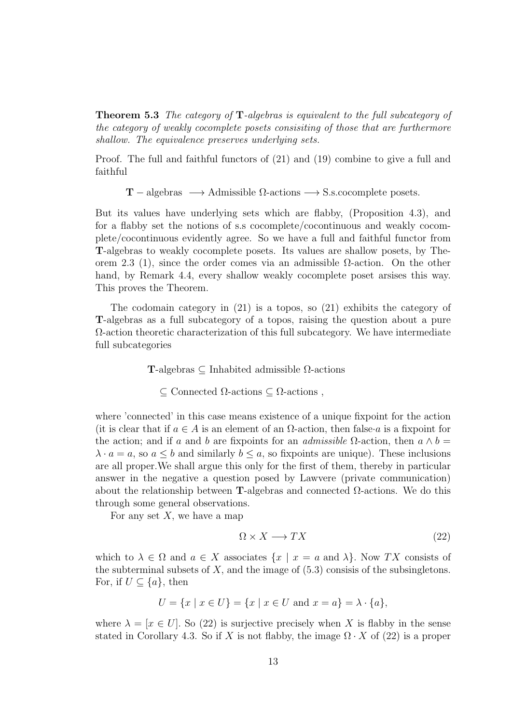Theorem 5.3 The category of T-algebras is equivalent to the full subcategory of the category of weakly cocomplete posets consisiting of those that are furthermore shallow. The equivalence preserves underlying sets.

Proof. The full and faithful functors of (21) and (19) combine to give a full and faithful

 $T$  – algebras  $\longrightarrow$  Admissible  $\Omega$ -actions  $\longrightarrow$  S.s.cocomplete posets.

But its values have underlying sets which are flabby, (Proposition 4.3), and for a flabby set the notions of s.s cocomplete/cocontinuous and weakly cocomplete/cocontinuous evidently agree. So we have a full and faithful functor from T-algebras to weakly cocomplete posets. Its values are shallow posets, by Theorem 2.3 (1), since the order comes via an admissible  $\Omega$ -action. On the other hand, by Remark 4.4, every shallow weakly cocomplete poset arsises this way. This proves the Theorem.

The codomain category in  $(21)$  is a topos, so  $(21)$  exhibits the category of T-algebras as a full subcategory of a topos, raising the question about a pure  $\Omega$ -action theoretic characterization of this full subcategory. We have intermediate full subcategories

T-algebras ⊆ Inhabited admissible Ω-actions

 $\subseteq$  Connected  $\Omega$ -actions  $\subseteq$   $\Omega$ -actions,

where 'connected' in this case means existence of a unique fixpoint for the action (it is clear that if  $a \in A$  is an element of an  $\Omega$ -action, then false a is a fixpoint for the action; and if a and b are fixpoints for an admissible  $\Omega$ -action, then  $a \wedge b =$  $\lambda \cdot a = a$ , so  $a \leq b$  and similarly  $b \leq a$ , so fixpoints are unique). These inclusions are all proper.We shall argue this only for the first of them, thereby in particular answer in the negative a question posed by Lawvere (private communication) about the relationship between T-algebras and connected  $Ω$ -actions. We do this through some general observations.

For any set  $X$ , we have a map

$$
\Omega \times X \longrightarrow TX \tag{22}
$$

which to  $\lambda \in \Omega$  and  $a \in X$  associates  $\{x \mid x = a \text{ and } \lambda\}$ . Now TX consists of the subterminal subsets of  $X$ , and the image of  $(5.3)$  consisis of the subsingletons. For, if  $U \subseteq \{a\}$ , then

$$
U = \{x \mid x \in U\} = \{x \mid x \in U \text{ and } x = a\} = \lambda \cdot \{a\},\
$$

where  $\lambda = [x \in U]$ . So (22) is surjective precisely when X is flabby in the sense stated in Corollary 4.3. So if X is not flabby, the image  $\Omega \cdot X$  of (22) is a proper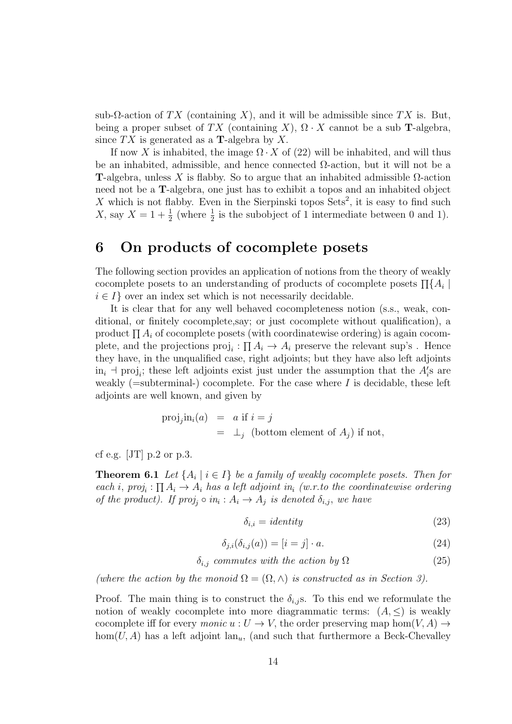sub- $\Omega$ -action of TX (containing X), and it will be admissible since TX is. But, being a proper subset of TX (containing X),  $\Omega \cdot X$  cannot be a sub T-algebra, since  $TX$  is generated as a **T**-algebra by X.

If now X is inhabited, the image  $\Omega \cdot X$  of (22) will be inhabited, and will thus be an inhabited, admissible, and hence connected  $\Omega$ -action, but it will not be a T-algebra, unless X is flabby. So to argue that an inhabited admissible  $\Omega$ -action need not be a T-algebra, one just has to exhibit a topos and an inhabited object X which is not flabby. Even in the Sierpinski topos  $Sets^2$ , it is easy to find such X, say  $X = 1 + \frac{1}{2}$  (where  $\frac{1}{2}$  is the subobject of 1 intermediate between 0 and 1).

# 6 On products of cocomplete posets

The following section provides an application of notions from the theory of weakly cocomplete posets to an understanding of products of cocomplete posets  $\prod_{i} A_i$  $i \in I$  over an index set which is not necessarily decidable.

It is clear that for any well behaved cocompleteness notion (s.s., weak, conditional, or finitely cocomplete,say; or just cocomplete without qualification), a product  $\prod A_i$  of cocomplete posets (with coordinatewise ordering) is again cocomplete, and the projections  $proj_i : \prod A_i \to A_i$  preserve the relevant sup's. Hence they have, in the unqualified case, right adjoints; but they have also left adjoints  $\text{in}_i$  + proj<sub>i</sub>; these left adjoints exist just under the assumption that the  $A_i$ 's are weakly (=subterminal-) cocomplete. For the case where  $I$  is decidable, these left adjoints are well known, and given by

$$
\text{proj}_j \text{in}_i(a) = a \text{ if } i = j
$$
  
=  $\perp_j$  (bottom element of  $A_j$ ) if not,

cf e.g. [JT]  $p.2$  or  $p.3$ .

**Theorem 6.1** Let  $\{A_i \mid i \in I\}$  be a family of weakly cocomplete posets. Then for each i,  $proj_i : \prod A_i \rightarrow A_i$  has a left adjoint in<sub>i</sub> (w.r.to the coordinatewise ordering of the product). If  $proj_j \circ in_i : A_i \to A_j$  is denoted  $\delta_{i,j}$ , we have

$$
\delta_{i,i} = identity \tag{23}
$$

$$
\delta_{j,i}(\delta_{i,j}(a)) = [i = j] \cdot a. \tag{24}
$$

 $\delta_{i,j}$  commutes with the action by  $\Omega$  (25)

(where the action by the monoid  $\Omega = (\Omega, \wedge)$  is constructed as in Section 3).

Proof. The main thing is to construct the  $\delta_{i,j}$ . To this end we reformulate the notion of weakly cocomplete into more diagrammatic terms:  $(A, \leq)$  is weakly cocomplete iff for every *monic*  $u: U \to V$ , the order preserving map hom $(V, A) \to$  $hom(U, A)$  has a left adjoint  $lan_u$ , (and such that furthermore a Beck-Chevalley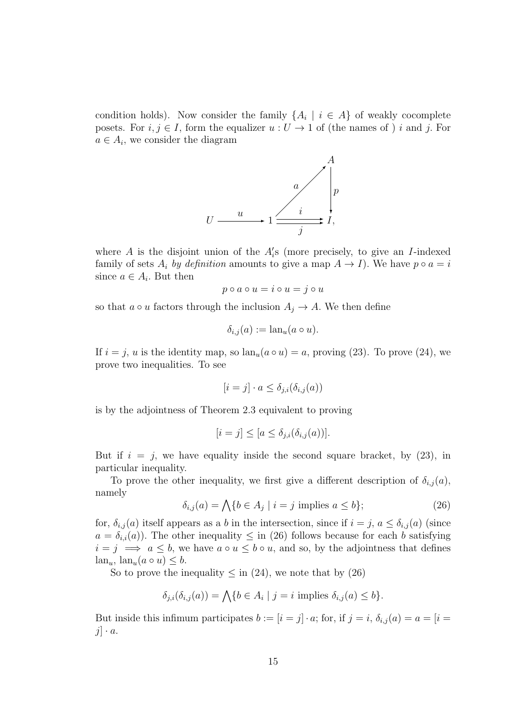condition holds). Now consider the family  $\{A_i \mid i \in A\}$  of weakly cocomplete posets. For  $i, j \in I$ , form the equalizer  $u : U \to 1$  of (the names of ) i and j. For  $a \in A_i$ , we consider the diagram



where  $A$  is the disjoint union of the  $A_i$ 's (more precisely, to give an *I*-indexed family of sets  $A_i$  by definition amounts to give a map  $A \to I$ ). We have  $p \circ a = i$ since  $a \in A_i$ . But then

$$
p \circ a \circ u = i \circ u = j \circ u
$$

so that  $a \circ u$  factors through the inclusion  $A_i \to A$ . We then define

$$
\delta_{i,j}(a) := \operatorname{lan}_u(a \circ u).
$$

If  $i = j$ , u is the identity map, so  $lan_u(a \circ u) = a$ , proving (23). To prove (24), we prove two inequalities. To see

$$
[i = j] \cdot a \le \delta_{j,i}(\delta_{i,j}(a))
$$

is by the adjointness of Theorem 2.3 equivalent to proving

$$
[i = j] \leq [a \leq \delta_{j,i}(\delta_{i,j}(a))].
$$

But if  $i = j$ , we have equality inside the second square bracket, by  $(23)$ , in particular inequality.

To prove the other inequality, we first give a different description of  $\delta_{i,j}(a)$ , namely

$$
\delta_{i,j}(a) = \bigwedge \{ b \in A_j \mid i = j \text{ implies } a \le b \};\tag{26}
$$

for,  $\delta_{i,j}(a)$  itself appears as a b in the intersection, since if  $i = j$ ,  $a \leq \delta_{i,j}(a)$  (since  $a = \delta_{i,i}(a)$ . The other inequality  $\leq$  in (26) follows because for each b satisfying  $i = j \implies a \leq b$ , we have  $a \circ u \leq b \circ u$ , and so, by the adjointness that defines  $\text{lan}_u, \text{lan}_u(a \circ u) \leq b.$ 

So to prove the inequality  $\leq$  in (24), we note that by (26)

$$
\delta_{j,i}(\delta_{i,j}(a)) = \bigwedge \{b \in A_i \mid j = i \text{ implies } \delta_{i,j}(a) \le b\}.
$$

But inside this infimum participates  $b := [i = j] \cdot a$ ; for, if  $j = i$ ,  $\delta_{i,j}(a) = a = [i = j]$  $j \cdot a$ .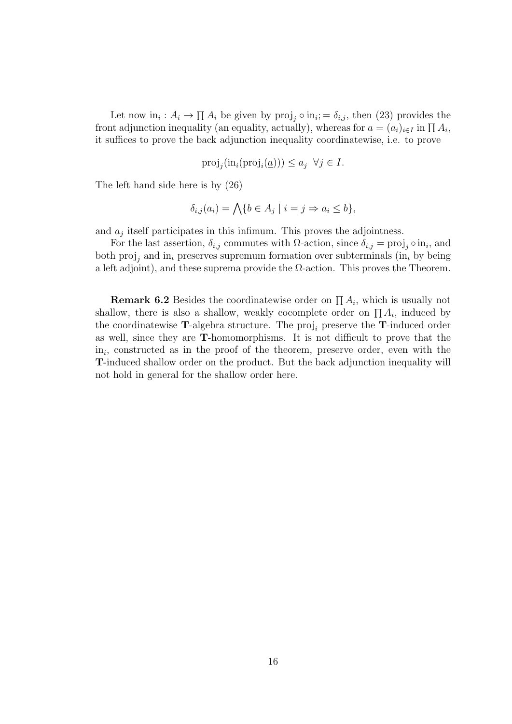Let now  $\text{in}_i : A_i \to \prod A_i$  be given by  $\text{proj}_j \circ \text{in}_i = \delta_{i,j}$ , then (23) provides the front adjunction inequality (an equality, actually), whereas for  $\underline{a} = (a_i)_{i \in I}$  in  $\prod A_i$ , it suffices to prove the back adjunction inequality coordinatewise, i.e. to prove

$$
\text{proj}_j(\text{in}_i(\text{proj}_i(\underline{a}))) \le a_j \ \forall j \in I.
$$

The left hand side here is by (26)

$$
\delta_{i,j}(a_i) = \bigwedge \{ b \in A_j \mid i = j \Rightarrow a_i \le b \},\
$$

and  $a_j$  itself participates in this infimum. This proves the adjointness.

For the last assertion,  $\delta_{i,j}$  commutes with  $\Omega$ -action, since  $\delta_{i,j} = \text{proj}_j \circ \text{in}_i$ , and both  $proj_i$  and  $in_i$  preserves supremum formation over subterminals (in<sub>i</sub> by being a left adjoint), and these suprema provide the  $\Omega$ -action. This proves the Theorem.

**Remark 6.2** Besides the coordinatewise order on  $\prod A_i$ , which is usually not shallow, there is also a shallow, weakly cocomplete order on  $\prod A_i$ , induced by the coordinatewise T-algebra structure. The proj<sub>i</sub> preserve the T-induced order as well, since they are T-homomorphisms. It is not difficult to prove that the  $\text{in}_i$ , constructed as in the proof of the theorem, preserve order, even with the T-induced shallow order on the product. But the back adjunction inequality will not hold in general for the shallow order here.